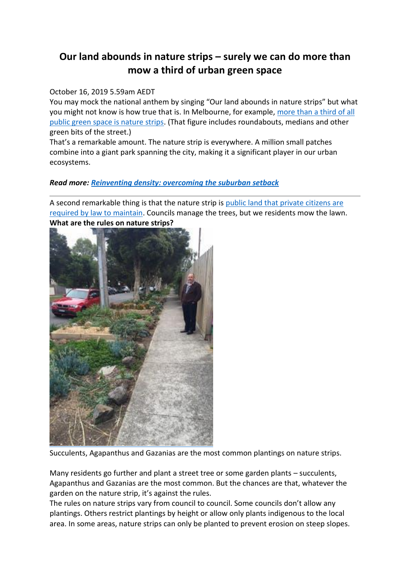# **Our land abounds in nature strips – surely we can do more than mow a third of urban green space**

## October 16, 2019 5.59am AEDT

You may mock the national anthem by singing "Our land abounds in nature strips" but what you might not know is how true that is. In Melbourne, for example, more than a third of all [public green space is nature strips.](https://www.sciencedirect.com/science/article/pii/S1618866719300718) (That figure includes roundabouts, medians and other green bits of the street.)

That's a remarkable amount. The nature strip is everywhere. A million small patches combine into a giant park spanning the city, making it a significant player in our urban ecosystems.

## *Read more: [Reinventing density: overcoming the suburban setback](http://theconversation.com/reinventing-density-overcoming-the-suburban-setback-66411)*

A second remarkable thing is that the nature strip is [public land that private citizens are](https://apo.org.au/sites/default/files/resource-files/2007/11/apo-nid60258-1105966.pdf)  [required by law to maintain.](https://apo.org.au/sites/default/files/resource-files/2007/11/apo-nid60258-1105966.pdf) Councils manage the trees, but we residents mow the lawn.



**What are the rules on nature strips?**

Succulents, Agapanthus and Gazanias are the most common plantings on nature strips.

Many residents go further and plant a street tree or some garden plants – succulents, Agapanthus and Gazanias are the most common. But the chances are that, whatever the garden on the nature strip, it's against the rules.

The rules on nature strips vary from council to council. Some councils don't allow any plantings. Others restrict plantings by height or allow only plants indigenous to the local area. In some areas, nature strips can only be planted to prevent erosion on steep slopes.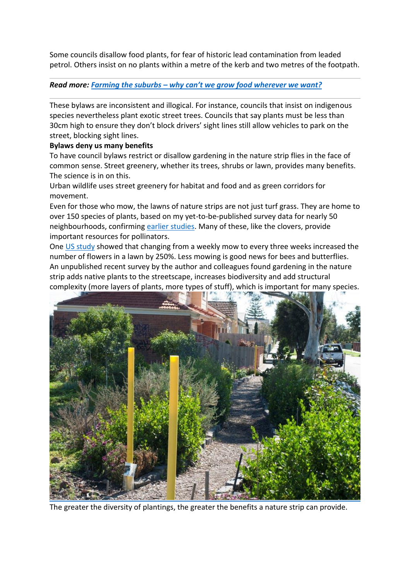Some councils disallow food plants, for fear of historic lead contamination from leaded petrol. Others insist on no plants within a metre of the kerb and two metres of the footpath.

#### *Read more: Farming the suburbs – [why can't we grow food wherever we want?](http://theconversation.com/farming-the-suburbs-why-cant-we-grow-food-wherever-we-want-80330)*

These bylaws are inconsistent and illogical. For instance, councils that insist on indigenous species nevertheless plant exotic street trees. Councils that say plants must be less than 30cm high to ensure they don't block drivers' sight lines still allow vehicles to park on the street, blocking sight lines.

#### **Bylaws deny us many benefits**

To have council bylaws restrict or disallow gardening in the nature strip flies in the face of common sense. Street greenery, whether its trees, shrubs or lawn, provides many benefits. The science is in on this.

Urban wildlife uses street greenery for habitat and food and as green corridors for movement.

Even for those who mow, the lawns of nature strips are not just turf grass. They are home to over 150 species of plants, based on my yet-to-be-published survey data for nearly 50 neighbourhoods, confirming [earlier studies.](https://link.springer.com/article/10.1007/s11252-009-0098-7) Many of these, like the clovers, provide important resources for pollinators.

One [US study](https://www.nrs.fs.fed.us/pubs/55816) showed that changing from a weekly mow to every three weeks increased the number of flowers in a lawn by 250%. Less mowing is good news for bees and butterflies. An unpublished recent survey by the author and colleagues found gardening in the nature strip adds native plants to the streetscape, increases biodiversity and add structural complexity (more layers of plants, more types of stuff), which is important for many species.



The greater the diversity of plantings, the greater the benefits a nature strip can provide.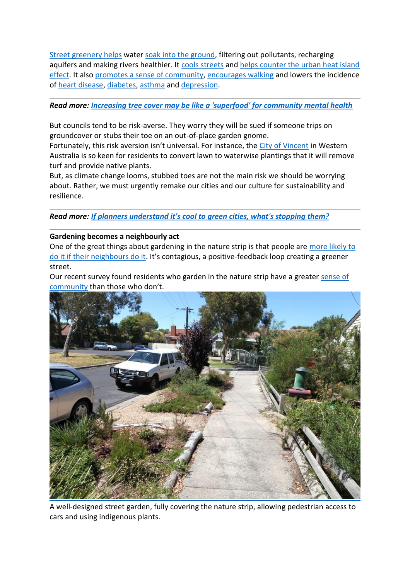[Street greenery helps](https://pubag.nal.usda.gov/catalog/1135097) water [soak into the ground,](https://www.ncbi.nlm.nih.gov/pubmed/27094440) filtering out pollutants, recharging aquifers and making rivers healthier. It [cools streets](https://www.ncbi.nlm.nih.gov/pubmed/26828172) and helps counter the urban heat island [effect.](https://www.sciencedirect.com/science/article/pii/S0169204614002503) It also [promotes a sense of community,](https://www.sciencedirect.com/science/article/abs/pii/S0277953613003742) [encourages walking](https://www.sciencedirect.com/science/article/pii/S2214140518303281) and lowers the incidence of [heart disease,](https://www.sciencedirect.com/science/article/pii/S2214140518303281) [diabetes,](https://jamanetwork.com/journals/jama/fullarticle/2524191) [asthma](https://theconversation.com/children-living-in-green-neighbourhoods-are-less-likely-to-develop-asthma-96190) and [depression.](https://www.sciencedirect.com/science/article/pii/S0169204614002941)

### *Read more: [Increasing tree cover may be like a 'superfood' for community mental health](http://theconversation.com/increasing-tree-cover-may-be-like-a-superfood-for-community-mental-health-119930)*

But councils tend to be risk-averse. They worry they will be sued if someone trips on groundcover or stubs their toe on an out-of-place garden gnome.

Fortunately, this risk aversion isn't universal. For instance, the [City of Vincent](https://www.vincent.wa.gov.au/residents/environment/environmental-sustainability/news-events/adopt-a-verge.aspx) in Western Australia is so keen for residents to convert lawn to waterwise plantings that it will remove turf and provide native plants.

But, as climate change looms, stubbed toes are not the main risk we should be worrying about. Rather, we must urgently remake our cities and our culture for sustainability and resilience.

*Read more: [If planners understand it's cool to green cities, what's stopping them?](http://theconversation.com/if-planners-understand-its-cool-to-green-cities-whats-stopping-them-55753)*

#### **Gardening becomes a neighbourly act**

One of the great things about gardening in the nature strip is that people are [more likely to](https://www.sciencedirect.com/science/article/pii/S1618866719302535)  [do it if their neighbours do it](https://www.sciencedirect.com/science/article/pii/S1618866719302535). It's contagious, a positive-feedback loop creating a greener street.

Our recent survey found residents who garden in the nature strip have a greater [sense of](http://www.communityscience.com/news-detail.php?news=114)  [community](http://www.communityscience.com/news-detail.php?news=114) than those who don't.



A well-designed street garden, fully covering the nature strip, allowing pedestrian access to cars and using indigenous plants.